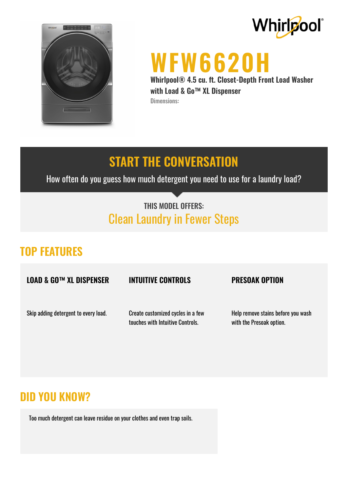



# **WFW6620H**

**Whirlpool® 4.5 cu. ft. Closet-Depth Front Load Washer with Load & Go™ XL Dispenser** Dimensions:

# **START THE CONVERSATION**

How often do you guess how much detergent you need to use for a laundry load?

# THIS MODEL OFFERS: Clean Laundry in Fewer Steps

## **TOP FEATURES**

| <b>LOAD &amp; GO™ XL DISPENSER</b>   | <b>INTUITIVE CONTROLS</b>                                             | <b>PRESOAK OPTION</b>                                          |
|--------------------------------------|-----------------------------------------------------------------------|----------------------------------------------------------------|
| Skip adding detergent to every load. | Create customized cycles in a few<br>touches with Intuitive Controls. | Help remove stains before you wash<br>with the Presoak option. |

#### **DID YOU KNOW?**

Too much detergent can leave residue on your clothes and even trap soils.